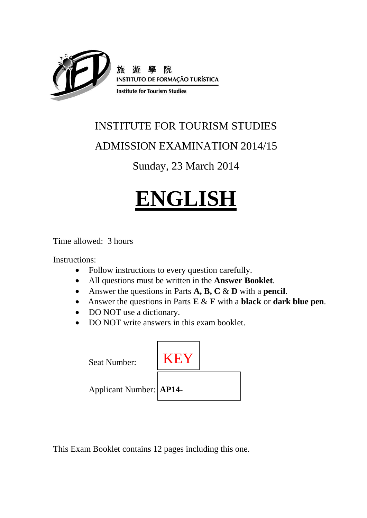

# INSTITUTE FOR TOURISM STUDIES

# ADMISSION EXAMINATION 2014/15

# Sunday, 23 March 2014

# **ENGLISH**

Time allowed: 3 hours

Instructions:

- Follow instructions to every question carefully.
- All questions must be written in the **Answer Booklet**.
- Answer the questions in Parts **A, B, C** & **D** with a **pencil**.
- Answer the questions in Parts **E** & **F** with a **black** or **dark blue pen**.
- DO NOT use a dictionary.
- DO NOT write answers in this exam booklet.



This Exam Booklet contains 12 pages including this one.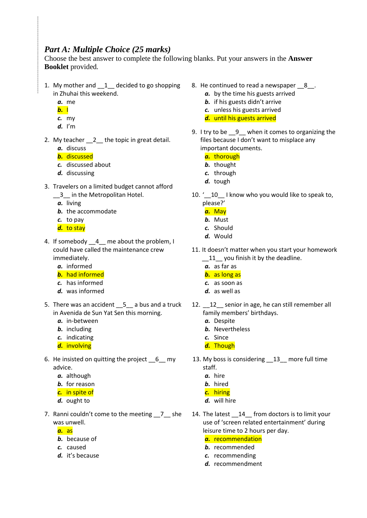## *Part A: Multiple Choice (25 marks)*

Choose the best answer to complete the following blanks. Put your answers in the **Answer Booklet** provided*.*

- 1. My mother and \_\_1\_\_ decided to go shopping in Zhuhai this weekend.
	- *a.* me
	- *b.* I
	- *c.* my
	- *d.* I'm
- 2. My teacher 2 the topic in great detail. *a.* discuss
	- *b.* discussed
	- *c.* discussed about
	- *d.* discussing
- 3. Travelers on a limited budget cannot afford
	- 13 in the Metropolitan Hotel.
		- *a.* living
		- *b.* the accommodate
		- *c.* to pay
		- *d.* to stay
- 4. If somebody \_\_4\_ me about the problem, I could have called the maintenance crew immediately.
	- *a.* informed
	- *b.* had informed
	- *c.* has informed
	- *d.* was informed
- 5. There was an accident \_\_5\_\_ a bus and a truck in Avenida de Sun Yat Sen this morning.
	- *a.* in-between
	- *b.* including
	- *c.* indicating
	- *d.* involving
- 6. He insisted on quitting the project \_\_6\_\_ my advice.
	- *a.* although
	- *b.* for reason
	- *c.* in spite of
	- *d.* ought to
- 7. Ranni couldn't come to the meeting \_\_7\_\_ she was unwell.
	- *a.* as
	- *b.* because of
	- *c.* caused
	- *d.* it's because
- 8. He continued to read a newspaper  $\,8\,$ .
	- *a.* by the time his guests arrived
	- *b.* if his guests didn't arrive
	- *c.* unless his guests arrived
	- *d.* until his guests arrived
- 9. I try to be 9 when it comes to organizing the files because I don't want to misplace any important documents.
	- *a.* thorough
	- *b.* thought
	- *c.* through
	- *d.* tough
- 10. ' 10 I know who you would like to speak to, please?'
	- *a.* May
	- *b.* Must
	- *c.* Should
	- *d.* Would
- 11. It doesn't matter when you start your homework \_\_11\_\_ you finish it by the deadline.
	- *a.* as far as
	- *b.* as long as
	- *c.* as soon as
	- *d.* as well as
- 12. \_\_12\_\_ senior in age, he can still remember all family members' birthdays.
	- *a.* Despite
	- *b.* Nevertheless
	- *c.* Since
	- *d.* Though
- 13. My boss is considering \_\_13\_\_ more full time staff.
	- *a.* hire
	- *b.* hired
	- *c.* hiring
	- *d.* will hire
- 14. The latest \_\_14\_ from doctors is to limit your use of 'screen related entertainment' during leisure time to 2 hours per day.
	- *a.* recommendation *b.* recommended
	- *c.* recommending
	- *d.* recommendment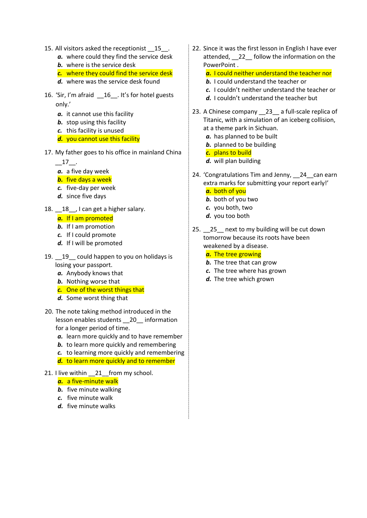- 15. All visitors asked the receptionist \_\_15\_\_.
	- *a.* where could they find the service desk
	- *b.* where is the service desk
	- *c.* where they could find the service desk
	- *d.* where was the service desk found
- 16. 'Sir, I'm afraid \_\_16\_\_. It's for hotel guests only.'
	- *a.* it cannot use this facility
	- *b.* stop using this facility
	- *c.* this facility is unused
	- *d.* you cannot use this facility
- 17. My father goes to his office in mainland China

 $-17$ .

- *a.* a five day week
- *b.* five days a week
- *c.* five-day per week
- *d.* since five days
- 18.  $\_\!\_18\_\!\_$  I can get a higher salary.

#### *a.* If I am promoted

- *b.* If I am promotion
- *c.* If I could promote
- *d.* If I will be promoted
- 19. 19 could happen to you on holidays is losing your passport.
	- *a.* Anybody knows that
	- *b.* Nothing worse that
	- *c.* One of the worst things that
	- *d.* Some worst thing that
- 20. The note taking method introduced in the lesson enables students \_\_20\_\_ information for a longer period of time.
	- *a.* learn more quickly and to have remember
	- *b.* to learn more quickly and remembering
	- *c.* to learning more quickly and remembering
	- *d.* to learn more quickly and to remember
- 21. I live within \_\_21\_from my school.
	- *a.* a five-minute walk
	- *b.* five minute walking
	- *c.* five minute walk
	- *d.* five minute walks

22. Since it was the first lesson in English I have ever attended, \_\_22\_\_ follow the information on the PowerPoint .

#### *a.* I could neither understand the teacher nor

- *b.* I could understand the teacher or
- *c.* I couldn't neither understand the teacher or
- *d.* I couldn't understand the teacher but
- 23. A Chinese company 23 a full-scale replica of Titanic, with a simulation of an iceberg collision, at a theme park in [Sichuan.](http://travel.cnn.com/tags/sichuan)
	- *a.* has planned to be built
	- *b.* planned to be building
	- *c.* plans to build
	- *d.* will plan building
- 24. 'Congratulations Tim and Jenny, 24 can earn extra marks for submitting your report early!'
	- *a.* both of you
	- *b.* both of you two
	- *c.* you both, two
	- *d.* you too both
- 25. 25 next to my building will be cut down tomorrow because its roots have been weakened by a disease.
	- *a.* The tree growing
	- *b.* The tree that can grow
	- *c.* The tree where has grown
	- *d.* The tree which grown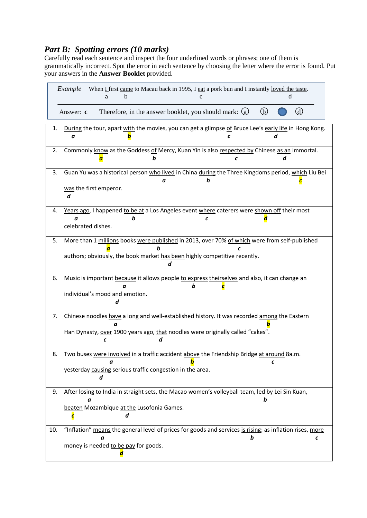## *Part B: Spotting errors (10 marks)*

Carefully read each sentence and inspect the four underlined words or phrases; one of them is grammatically incorrect. Spot the error in each sentence by choosing the letter where the error is found. Put your answers in the **Answer Booklet** provided.

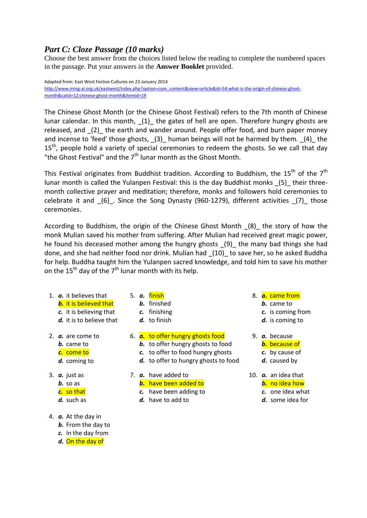## *Part C: Cloze Passage (10 marks)*

Choose the best answer from the choices listed below the reading to complete the numbered spaces in the passage. Put your answers in the **Answer Booklet** provided.

Adapted from: East West Festive Cultures on 23 January 2014 [http://www.ming-ai.org.uk/eastwest/index.php?option=com\\_content&view=article&id=54:what-is-the-origin-of-chinese-ghost](http://www.ming-ai.org.uk/eastwest/index.php?option=com_content&view=article&id=54:what-is-the-origin-of-chinese-ghost-month&catid=12:chinese-ghost-month&Itemid=19)[month&catid=12:chinese-ghost-month&Itemid=19](http://www.ming-ai.org.uk/eastwest/index.php?option=com_content&view=article&id=54:what-is-the-origin-of-chinese-ghost-month&catid=12:chinese-ghost-month&Itemid=19)

The Chinese Ghost Month (or the Chinese Ghost Festival) refers to the 7th month of Chinese lunar calendar. In this month, (1) the gates of hell are open. Therefore hungry ghosts are released, and \_(2)\_ the earth and wander around. People offer food, and burn paper money and incense to 'feed' those ghosts, (3) human beings will not be harmed by them. (4) the  $15<sup>th</sup>$ , people hold a variety of special ceremonies to redeem the ghosts. So we call that day "the Ghost Festival" and the  $7<sup>th</sup>$  lunar month as the Ghost Month.

This Festival originates from Buddhist tradition. According to Buddhism, the 15<sup>th</sup> of the 7<sup>th</sup> lunar month is called the Yulanpen Festival: this is the day Buddhist monks \_(5)\_ their threemonth collective prayer and meditation; therefore, monks and followers hold ceremonies to celebrate it and (6). Since the Song Dynasty (960-1279), different activities (7) those ceremonies.

According to Buddhism, the origin of the Chinese Ghost Month \_(8)\_ the story of how the monk Mulian saved his mother from suffering. After Mulian had received great magic power, he found his deceased mother among the hungry ghosts \_(9)\_ the many bad things she had done, and she had neither food nor drink. Mulian had \_(10)\_ to save her, so he asked Buddha for help. Buddha taught him the Yulanpen sacred knowledge, and told him to save his mother on the 15<sup>th</sup> day of the  $7<sup>th</sup>$  lunar month with its help.

- 1. *a.* it believes that *b.* it is believed that
	- *c.* it is believing that
	- *d.* it is to believe that
- 2. *a.* are come to
	- *b.* came to
	- *c.* come to
	- *d.* coming to
- 3. *a.* just as
	- *b.* so as
	- *c.* so that
	- *d.* such as
- 4. *a.* At the day in
	- *b.* From the day to
	- *c.* In the day from
	- *d.* On the day of
- 5. *a.* finish
	- *b.* finished
	- *c.* finishing
	- *d.* to finish
- 6. *a.* to offer hungry ghosts food
	- *b.* to offer hungry ghosts to food
	- *c.* to offer to food hungry ghosts
	- *d.* to offer to hungry ghosts to food
- 7. *a.* have added to
	- *b.* have been added to
	- *c.* have been adding to
	- *d.* have to add to
- 8. *a.* came from
	- *b.* came to
	- *c.* is coming from
	- *d.* is coming to
- 9. *a.* because
	- *b.* because of
	- *c.* by cause of
	- *d.* caused by
- 10. *a.* an idea that *b.* no idea how
	- *c.* one idea what
	- *d.* some idea for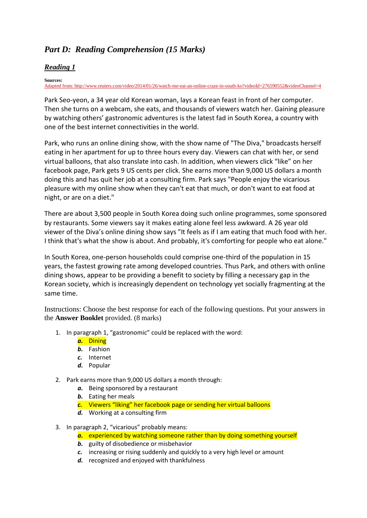# *Part D: Reading Comprehension (15 Marks)*

#### *Reading 1*

#### **Sources:**

[Adapted from: http://www.reuters.com/video/2014/01/26/watch-me-eat-an-online-craze-in-south-ko?videoId=276590552&videoChannel=4](file:///C:/Users/mary/Desktop/Adapted%20from:%20http:/www.reuters.com/video/2014/01/26/watch-me-eat-an-online-craze-in-south-ko%3fvideoId=276590552&videoChannel=4)

Park Seo-yeon, a 34 year old Korean woman, lays a Korean feast in front of her computer. Then she turns on a webcam, she eats, and thousands of viewers watch her. Gaining pleasure by watching others' gastronomic adventures is the latest fad in South Korea, a country with one of the best internet connectivities in the world.

Park, who runs an online dining show, with the show name of "The Diva," broadcasts herself eating in her apartment for up to three hours every day. Viewers can chat with her, or send virtual balloons, that also translate into cash. In addition, when viewers click "like" on her facebook page, Park gets 9 US cents per click. She earns more than 9,000 US dollars a month doing this and has quit her job at a consulting firm. Park says "People enjoy the vicarious pleasure with my online show when they can't eat that much, or don't want to eat food at night, or are on a diet."

There are about 3,500 people in South Korea doing such online programmes, some sponsored by restaurants. Some viewers say it makes eating alone feel less awkward. A 26 year old viewer of the Diva's online dining show says "It feels as if I am eating that much food with her. I think that's what the show is about. And probably, it's comforting for people who eat alone."

In South Korea, one-person households could comprise one-third of the population in 15 years, the fastest growing rate among developed countries. Thus Park, and others with online dining shows, appear to be providing a benefit to society by filling a necessary gap in the Korean society, which is increasingly dependent on technology yet socially fragmenting at the same time.

Instructions: Choose the best response for each of the following questions. Put your answers in the **Answer Booklet** provided. (8 marks)

1. In paragraph 1, "gastronomic" could be replaced with the word:

#### *a.* Dining

- *b.* Fashion
- *c.* Internet
- *d.* Popular
- 2. Park earns more than 9,000 US dollars a month through:
	- *a.* Being sponsored by a restaurant
	- *b.* Eating her meals
	- *c.* Viewers "liking" her facebook page or sending her virtual balloons
	- *d.* Working at a consulting firm
- 3. In paragraph 2, "vicarious" probably means:
	- *a.* experienced by watching someone rather than by doing something yourself
	- *b.* guilty of disobedience or misbehavior
	- *c.* increasing or rising suddenly and quickly to a very high level or amount
	- *d.* recognized and enjoyed with thankfulness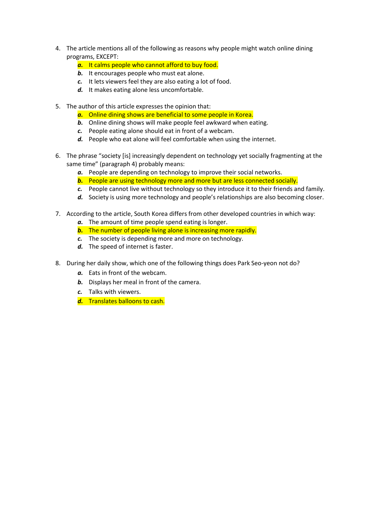- 4. The article mentions all of the following as reasons why people might watch online dining programs, EXCEPT:
	- *a.* It calms people who cannot afford to buy food.
	- *b.* It encourages people who must eat alone.
	- *c.* It lets viewers feel they are also eating a lot of food.
	- *d.* It makes eating alone less uncomfortable.
- 5. The author of this article expresses the opinion that:
	- *a.* Online dining shows are beneficial to some people in Korea.
	- *b.* Online dining shows will make people feel awkward when eating.
	- *c.* People eating alone should eat in front of a webcam.
	- *d.* People who eat alone will feel comfortable when using the internet.
- 6. The phrase "society [is] increasingly dependent on technology yet socially fragmenting at the same time" (paragraph 4) probably means:
	- *a.* People are depending on technology to improve their social networks.
	- *b.* People are using technology more and more but are less connected socially.
	- *c.* People cannot live without technology so they introduce it to their friends and family.
	- d. Society is using more technology and people's relationships are also becoming closer.
- 7. According to the article, South Korea differs from other developed countries in which way:
	- *a.* The amount of time people spend eating is longer.
	- *b.* The number of people living alone is increasing more rapidly.
	- *c.* The society is depending more and more on technology.
	- *d.* The speed of internet is faster.
- 8. During her daily show, which one of the following things does Park Seo-yeon not do?
	- *a.* Eats in front of the webcam.
	- *b.* Displays her meal in front of the camera.
	- *c.* Talks with viewers.
	- *d.* Translates balloons to cash.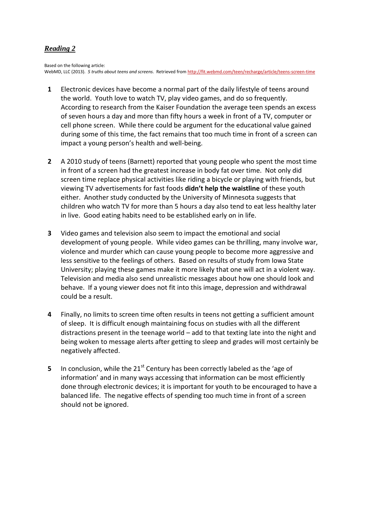## *Reading 2*

Based on the following article: WebMD, LLC (2013). *5 truths about teens and screens*. Retrieved fro[m http://fit.webmd.com/teen/recharge/article/teens-screen-time](http://fit.webmd.com/teen/recharge/article/teens-screen-time)

- **1** Electronic devices have become a normal part of the daily lifestyle of teens around the world. Youth love to watch TV, play video games, and do so frequently. According to research from the Kaiser Foundation the average teen spends an excess of seven hours a day and more than fifty hours a week in front of a TV, computer or cell phone screen. While there could be argument for the educational value gained during some of this time, the fact remains that too much time in front of a screen can impact a young person's health and well-being.
- **2** A 2010 study of teens (Barnett) reported that young people who spent the most time in front of a screen had the greatest increase in body fat over time. Not only did screen time replace physical activities like riding a bicycle or playing with friends, but viewing TV advertisements for fast foods **didn't help the waistline** of these youth either. Another study conducted by the University of Minnesota suggests that children who watch TV for more than 5 hours a day also tend to eat less healthy later in live. Good eating habits need to be established early on in life.
- **3** Video games and television also seem to impact the emotional and social development of young people. While video games can be thrilling, many involve war, violence and murder which can cause young people to become more aggressive and less sensitive to the feelings of others. Based on results of study from Iowa State University; playing these games make it more likely that one will act in a violent way. Television and media also send unrealistic messages about how one should look and behave. If a young viewer does not fit into this image, depression and withdrawal could be a result.
- **4** Finally, no limits to screen time often results in teens not getting a sufficient amount of sleep. It is difficult enough maintaining focus on studies with all the different distractions present in the teenage world – add to that texting late into the night and being woken to message alerts after getting to sleep and grades will most certainly be negatively affected.
- **5** In conclusion, while the 21<sup>st</sup> Century has been correctly labeled as the 'age of information' and in many ways accessing that information can be most efficiently done through electronic devices; it is important for youth to be encouraged to have a balanced life. The negative effects of spending too much time in front of a screen should not be ignored.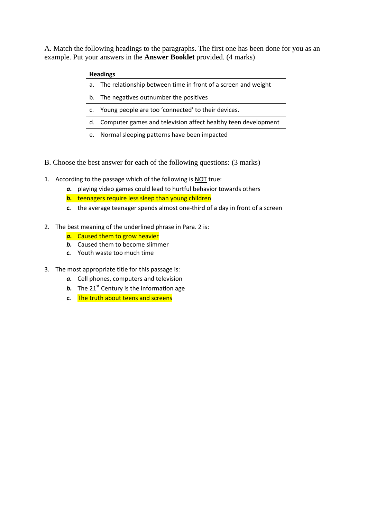A. Match the following headings to the paragraphs. The first one has been done for you as an example. Put your answers in the **Answer Booklet** provided. (4 marks)

| <b>Headings</b> |                                                               |  |  |
|-----------------|---------------------------------------------------------------|--|--|
| a.              | The relationship between time in front of a screen and weight |  |  |
| b.              | The negatives outnumber the positives                         |  |  |
|                 | Young people are too 'connected' to their devices.            |  |  |
| d.              | Computer games and television affect healthy teen development |  |  |
| e.              | Normal sleeping patterns have been impacted                   |  |  |

- B. Choose the best answer for each of the following questions: (3 marks)
- 1. According to the passage which of the following is NOT true:
	- *a.* playing video games could lead to hurtful behavior towards others
	- *b.* teenagers require less sleep than young children
	- *c.* the average teenager spends almost one-third of a day in front of a screen
- 2. The best meaning of the underlined phrase in Para. 2 is:
	- *a.* Caused them to grow heavier
	- *b.* Caused them to become slimmer
	- *c.* Youth waste too much time
- 3. The most appropriate title for this passage is:
	- *a.* Cell phones, computers and television
	- *b*. The 21<sup>st</sup> Century is the information age
	- *c.* The truth about teens and screens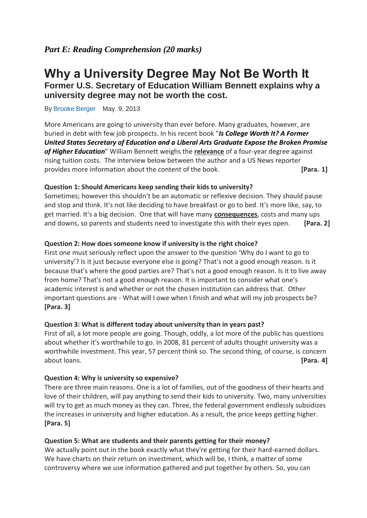# **Why a University Degree May Not Be Worth It Former U.S. Secretary of Education William Bennett explains why a**

**university degree may not be worth the cost.**

By [Brooke Berger](http://www.usnews.com/topics/author/brooke_berger) May. 9, 2013

More Americans are going to university than ever before. Many graduates, however, are buried in debt with few job prospects. In his recent book "*[Is College Worth It? A Former](http://www.amazon.com/Is-College-Worth-Secretary-Education/dp/1595552790)  [United States Secretary of Education and a Liberal Arts Graduate Expose the Broken Promise](http://www.amazon.com/Is-College-Worth-Secretary-Education/dp/1595552790)  [of Higher Education](http://www.amazon.com/Is-College-Worth-Secretary-Education/dp/1595552790)*" William Bennett weighs the **relevance** of a four-year degree against rising tuition costs. The interview below between the author and a US News reporter provides more information about the content of the book. **[Para. 1]**

#### **Question 1: Should Americans keep sending their kids to university?**

Sometimes; however this shouldn't be an automatic or reflexive decision. They should pause and stop and think. It's not like deciding to have breakfast or go to bed. It's more like, say, to get married. It's a big decision. One that will have many **consequences**, costs and many ups and downs, so parents and students need to investigate this with their eyes open. **[Para. 2]**

#### **Question 2: How does someone know if university is the right choice?**

First one must seriously reflect upon the answer to the question 'Why do I want to go to university'? Is it just because everyone else is going? That's not a good enough reason. Is it because that's where the good parties are? That's not a good enough reason. Is it to live away from home? That's not a good enough reason. It is important to consider what one's academic interest is and whether or not the chosen institution can address that. Other important questions are - What will I owe when I finish and what will my job prospects be? **[Para. 3]**

#### **Question 3: What is different today about university than in years past?**

First of all, a lot more people are going. Though, oddly, a lot more of the public has questions about whether it's worthwhile to go. In 2008, 81 percent of adults thought university was a worthwhile investment. This year, 57 percent think so. The second thing, of course, is concern about loans. **[Para. 4]**

#### **Question 4: Why is university so expensive?**

There are three main reasons. One is a lot of families, out of the goodness of their hearts and love of their children, will pay anything to send their kids to university. Two, many universities will try to get as much money as they can. Three, the federal government endlessly subsidizes the increases in university and higher education. As a result, the price keeps getting higher. **[Para. 5]**

#### **Question 5: What are students and their parents getting for their money?**

We actually point out in the book exactly what they're getting for their hard-earned dollars. We have charts on their return on investment, which will be, I think, a matter of some controversy where we use information gathered and put together by others. So, you can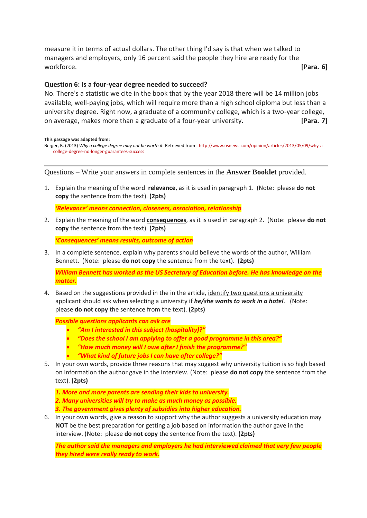measure it in terms of actual dollars. The other thing I'd say is that when we talked to managers and employers, only 16 percent said the people they hire are ready for the workforce. **[Para. 6]**

#### **Question 6: Is a four-year degree needed to succeed?**

No. There's a statistic we cite in the book that by the year 2018 there will be 14 million jobs available, well-paying jobs, which will require more than a high school diploma but less than a university degree. Right now, a graduate of a community college, which is a two-year college, on average, makes more than a graduate of a four-year university. **[Para. 7]**

**This passage was adapted from:**

Berger, B. (2013) *Why a college degree may not be worth it.* Retrieved from: [http://www.usnews.com/opinion/articles/2013/05/09/why-a](http://www.usnews.com/opinion/articles/2013/05/09/why-a-college-degree-no-longer-guarantees-success)[college-degree-no-longer-guarantees-success](http://www.usnews.com/opinion/articles/2013/05/09/why-a-college-degree-no-longer-guarantees-success)

Questions – Write your answers in complete sentences in the **Answer Booklet** provided.

1. Explain the meaning of the word **relevance**, as it is used in paragraph 1. (Note: please **do not copy** the sentence from the text). **(2pts)**

*'Relevance' means connection, closeness, association, relationship*

2. Explain the meaning of the word **consequences**, as it is used in paragraph 2. (Note: please **do not copy** the sentence from the text). **(2pts)**

*'Consequences' means results, outcome of action*

3. In a complete sentence, explain why parents should believe the words of the author, William Bennett. (Note: please **do not copy** the sentence from the text). **(2pts)**

*William Bennett has worked as the US Secretary of Education before. He has knowledge on the matter.*

4. Based on the suggestions provided in the in the article, identify two questions a university applicant should ask when selecting a university if *he/she wants to work in a hotel*. (Note: please **do not copy** the sentence from the text). **(2pts)**

*Possible questions applicants can ask are* 

- *"Am I interested in this subject (hospitality)?"*
- *"Does the school I am applying to offer a good programme in this area?"*
- *"How much money will I owe after I finish the programme?"*
- *"What kind of future jobs I can have after college?"*
- 5. In your own words, provide three reasons that may suggest why university tuition is so high based on information the author gave in the interview. (Note: please **do not copy** the sentence from the text). **(2pts)**
	- *1. More and more parents are sending their kids to university.*
	- *2. Many universities will try to make as much money as possible.*
	- *3. The government gives plenty of subsidies into higher education.*
- 6. In your own words, give a reason to support why the author suggests a university education may **NOT** be the best preparation for getting a job based on information the author gave in the interview. (Note: please **do not copy** the sentence from the text). **(2pts)**

*The author said the managers and employers he had interviewed claimed that very few people they hired were really ready to work.*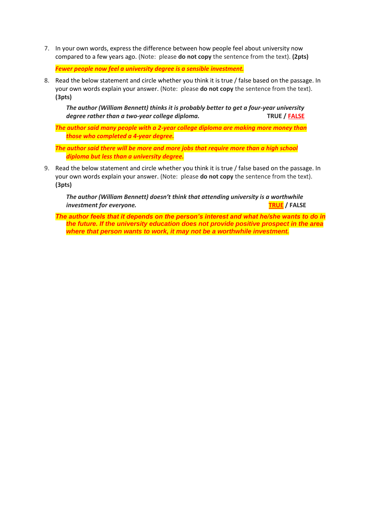7. In your own words, express the difference between how people feel about university now compared to a few years ago. (Note: please **do not copy** the sentence from the text). **(2pts)**

*Fewer people now feel a university degree is a sensible investment.*

8. Read the below statement and circle whether you think it is true / false based on the passage. In your own words explain your answer. (Note: please **do not copy** the sentence from the text). **(3pts)**

*The author (William Bennett) thinks it is probably better to get a four-year university degree rather than a two-year college diploma.*TRUE / **FALSE** 

*The author said many people with a 2-year college diploma are making more money than those who completed a 4-year degree.*

*The author said there will be more and more jobs that require more than a high school diploma but less than a university degree.*

9. Read the below statement and circle whether you think it is true / false based on the passage. In your own words explain your answer. (Note: please **do not copy** the sentence from the text). **(3pts)**

*The author (William Bennett) doesn't think that attending university is a worthwhile investment for everyone.* **TRUE / FALSE**

*The author feels that it depends on the person's interest and what he/she wants to do in the future. If the university education does not provide positive prospect in the area where that person wants to work, it may not be a worthwhile investment.*